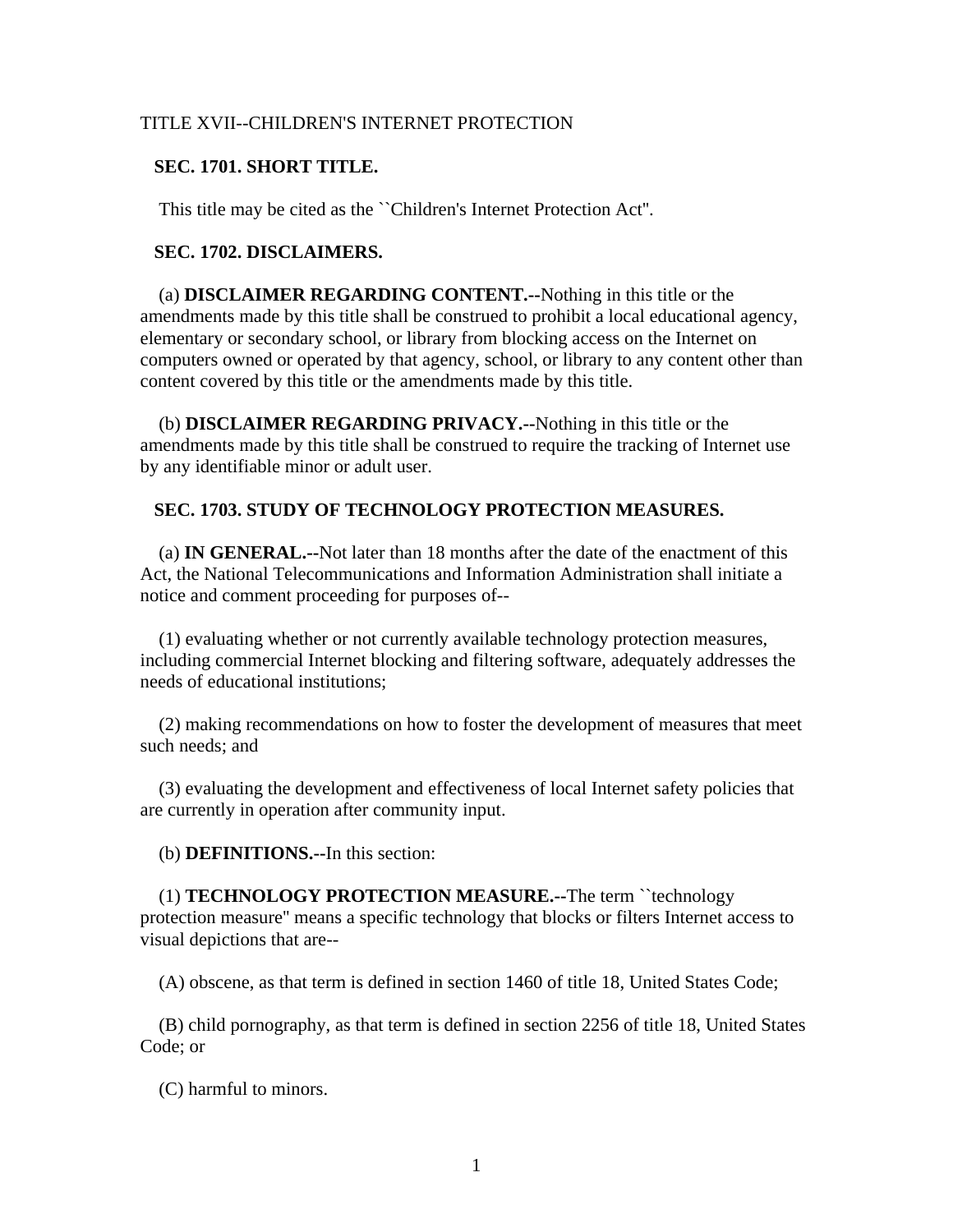### TITLE XVII--CHILDREN'S INTERNET PROTECTION

## **SEC. 1701. SHORT TITLE.**

This title may be cited as the ``Children's Internet Protection Act''.

#### **SEC. 1702. DISCLAIMERS.**

 (a) **DISCLAIMER REGARDING CONTENT.--**Nothing in this title or the amendments made by this title shall be construed to prohibit a local educational agency, elementary or secondary school, or library from blocking access on the Internet on computers owned or operated by that agency, school, or library to any content other than content covered by this title or the amendments made by this title.

 (b) **DISCLAIMER REGARDING PRIVACY.--**Nothing in this title or the amendments made by this title shall be construed to require the tracking of Internet use by any identifiable minor or adult user.

### **SEC. 1703. STUDY OF TECHNOLOGY PROTECTION MEASURES.**

 (a) **IN GENERAL.--**Not later than 18 months after the date of the enactment of this Act, the National Telecommunications and Information Administration shall initiate a notice and comment proceeding for purposes of--

 (1) evaluating whether or not currently available technology protection measures, including commercial Internet blocking and filtering software, adequately addresses the needs of educational institutions;

 (2) making recommendations on how to foster the development of measures that meet such needs; and

 (3) evaluating the development and effectiveness of local Internet safety policies that are currently in operation after community input.

(b) **DEFINITIONS.--**In this section:

 (1) **TECHNOLOGY PROTECTION MEASURE.--**The term ``technology protection measure'' means a specific technology that blocks or filters Internet access to visual depictions that are--

(A) obscene, as that term is defined in section 1460 of title 18, United States Code;

 (B) child pornography, as that term is defined in section 2256 of title 18, United States Code; or

(C) harmful to minors.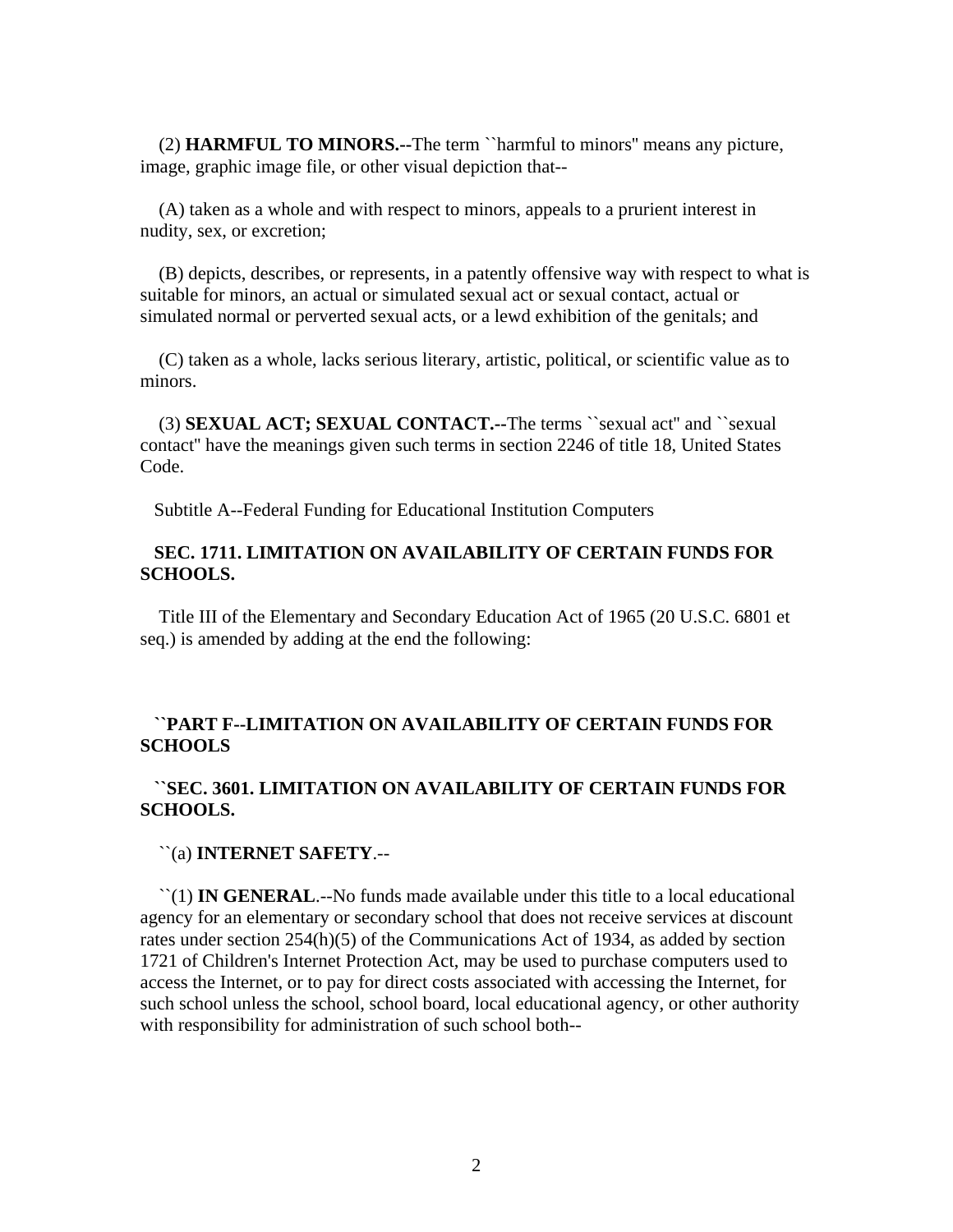(2) **HARMFUL TO MINORS.--**The term ``harmful to minors'' means any picture, image, graphic image file, or other visual depiction that--

 (A) taken as a whole and with respect to minors, appeals to a prurient interest in nudity, sex, or excretion;

 (B) depicts, describes, or represents, in a patently offensive way with respect to what is suitable for minors, an actual or simulated sexual act or sexual contact, actual or simulated normal or perverted sexual acts, or a lewd exhibition of the genitals; and

 (C) taken as a whole, lacks serious literary, artistic, political, or scientific value as to minors.

 (3) **SEXUAL ACT; SEXUAL CONTACT.--**The terms ``sexual act'' and ``sexual contact'' have the meanings given such terms in section 2246 of title 18, United States Code.

Subtitle A--Federal Funding for Educational Institution Computers

## **SEC. 1711. LIMITATION ON AVAILABILITY OF CERTAIN FUNDS FOR SCHOOLS.**

 Title III of the Elementary and Secondary Education Act of 1965 (20 U.S.C. 6801 et seq.) is amended by adding at the end the following:

# **``PART F--LIMITATION ON AVAILABILITY OF CERTAIN FUNDS FOR SCHOOLS**

# **``SEC. 3601. LIMITATION ON AVAILABILITY OF CERTAIN FUNDS FOR SCHOOLS.**

## ``(a) **INTERNET SAFETY**.--

 ``(1) **IN GENERAL**.--No funds made available under this title to a local educational agency for an elementary or secondary school that does not receive services at discount rates under section 254(h)(5) of the Communications Act of 1934, as added by section 1721 of Children's Internet Protection Act, may be used to purchase computers used to access the Internet, or to pay for direct costs associated with accessing the Internet, for such school unless the school, school board, local educational agency, or other authority with responsibility for administration of such school both--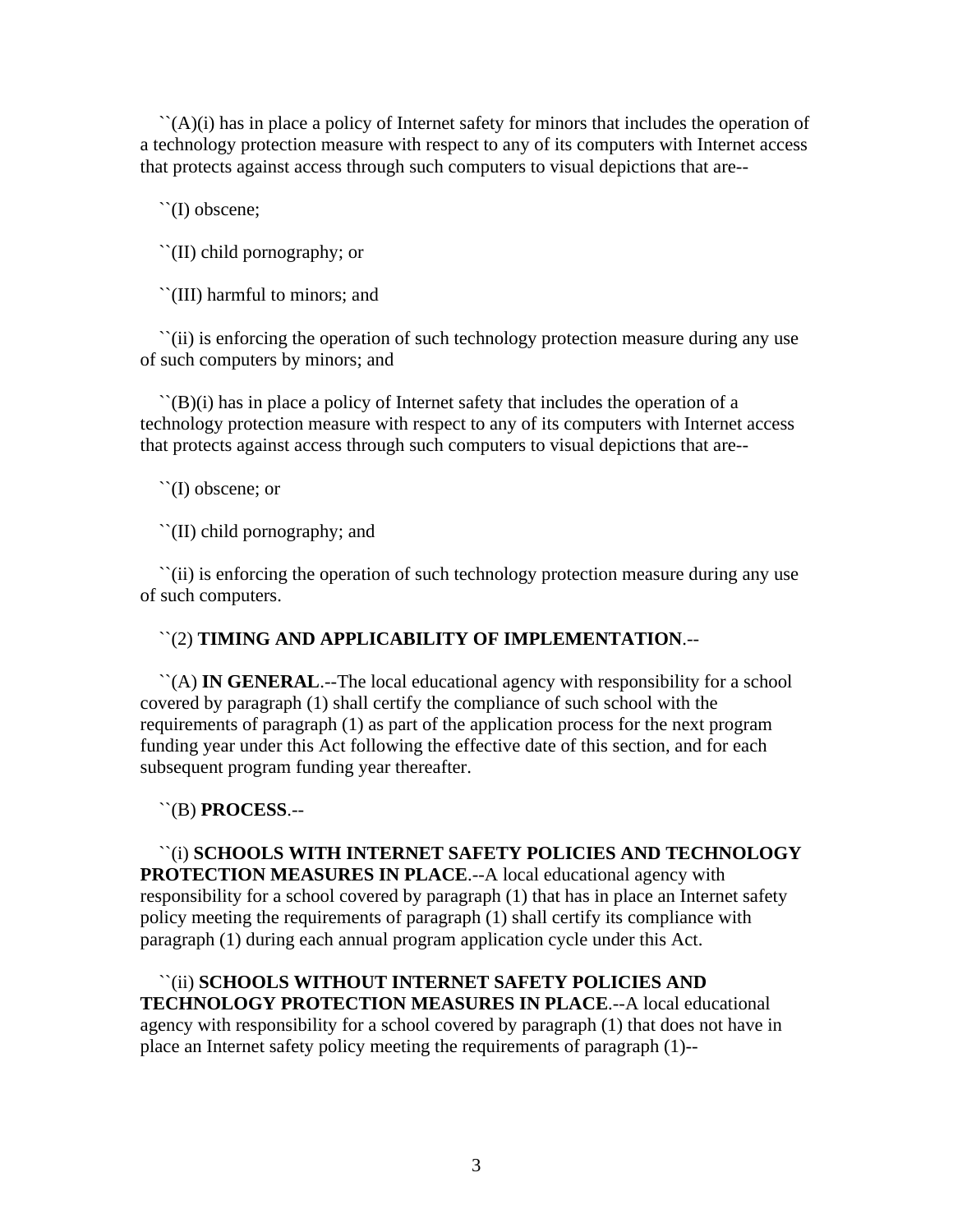$\Gamma(A)(i)$  has in place a policy of Internet safety for minors that includes the operation of a technology protection measure with respect to any of its computers with Internet access that protects against access through such computers to visual depictions that are--

``(I) obscene;

``(II) child pornography; or

``(III) harmful to minors; and

 ``(ii) is enforcing the operation of such technology protection measure during any use of such computers by minors; and

 ``(B)(i) has in place a policy of Internet safety that includes the operation of a technology protection measure with respect to any of its computers with Internet access that protects against access through such computers to visual depictions that are--

``(I) obscene; or

``(II) child pornography; and

 ``(ii) is enforcing the operation of such technology protection measure during any use of such computers.

# ``(2) **TIMING AND APPLICABILITY OF IMPLEMENTATION**.--

 ``(A) **IN GENERAL**.--The local educational agency with responsibility for a school covered by paragraph (1) shall certify the compliance of such school with the requirements of paragraph (1) as part of the application process for the next program funding year under this Act following the effective date of this section, and for each subsequent program funding year thereafter.

``(B) **PROCESS**.--

 ``(i) **SCHOOLS WITH INTERNET SAFETY POLICIES AND TECHNOLOGY PROTECTION MEASURES IN PLACE**.--A local educational agency with responsibility for a school covered by paragraph (1) that has in place an Internet safety policy meeting the requirements of paragraph (1) shall certify its compliance with paragraph (1) during each annual program application cycle under this Act.

 ``(ii) **SCHOOLS WITHOUT INTERNET SAFETY POLICIES AND TECHNOLOGY PROTECTION MEASURES IN PLACE**.--A local educational agency with responsibility for a school covered by paragraph (1) that does not have in place an Internet safety policy meeting the requirements of paragraph (1)--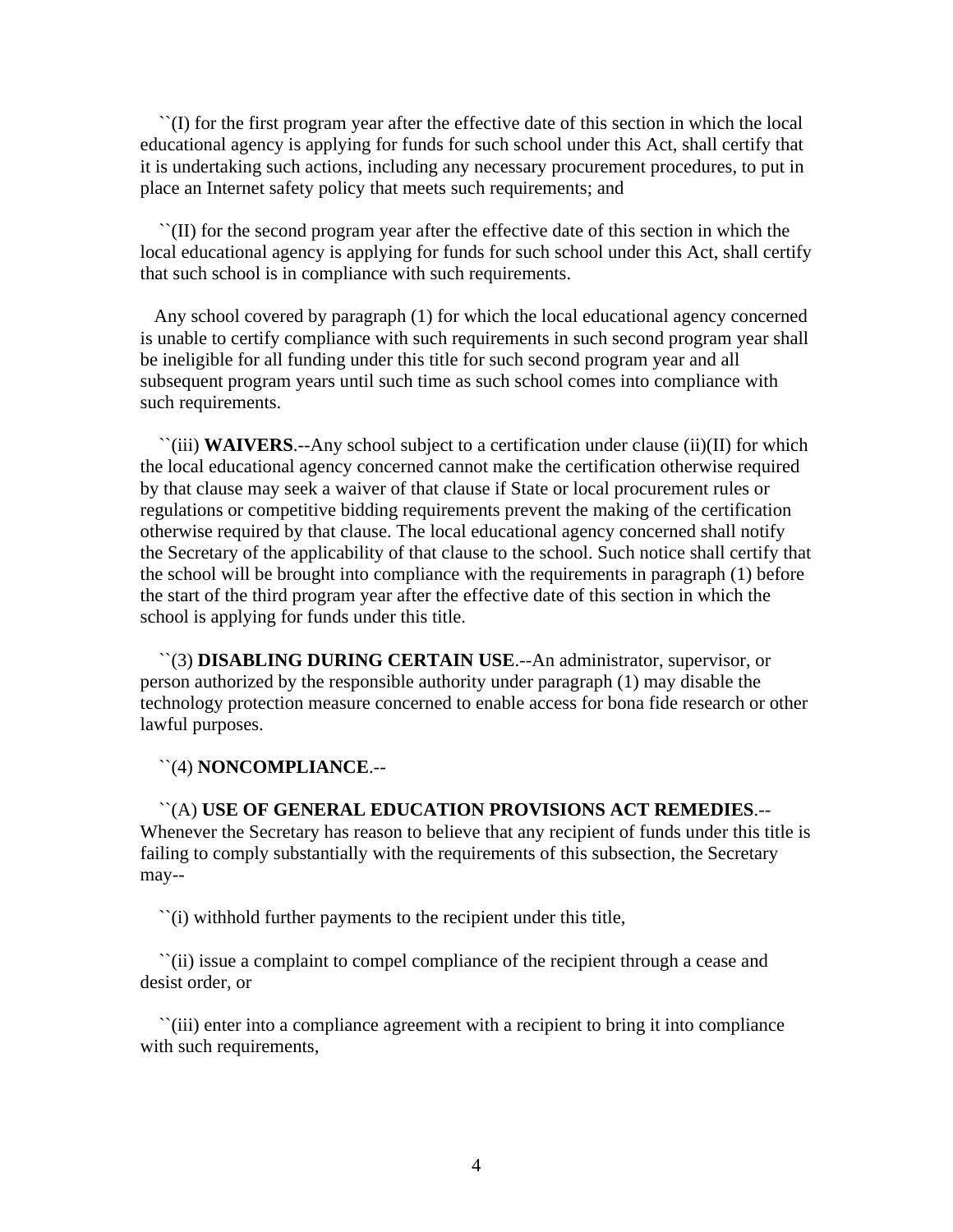``(I) for the first program year after the effective date of this section in which the local educational agency is applying for funds for such school under this Act, shall certify that it is undertaking such actions, including any necessary procurement procedures, to put in place an Internet safety policy that meets such requirements; and

 ``(II) for the second program year after the effective date of this section in which the local educational agency is applying for funds for such school under this Act, shall certify that such school is in compliance with such requirements.

 Any school covered by paragraph (1) for which the local educational agency concerned is unable to certify compliance with such requirements in such second program year shall be ineligible for all funding under this title for such second program year and all subsequent program years until such time as such school comes into compliance with such requirements.

 ``(iii) **WAIVERS**.--Any school subject to a certification under clause (ii)(II) for which the local educational agency concerned cannot make the certification otherwise required by that clause may seek a waiver of that clause if State or local procurement rules or regulations or competitive bidding requirements prevent the making of the certification otherwise required by that clause. The local educational agency concerned shall notify the Secretary of the applicability of that clause to the school. Such notice shall certify that the school will be brought into compliance with the requirements in paragraph (1) before the start of the third program year after the effective date of this section in which the school is applying for funds under this title.

 ``(3) **DISABLING DURING CERTAIN USE**.--An administrator, supervisor, or person authorized by the responsible authority under paragraph (1) may disable the technology protection measure concerned to enable access for bona fide research or other lawful purposes.

``(4) **NONCOMPLIANCE**.--

 ``(A) **USE OF GENERAL EDUCATION PROVISIONS ACT REMEDIES**.-- Whenever the Secretary has reason to believe that any recipient of funds under this title is failing to comply substantially with the requirements of this subsection, the Secretary may--

``(i) withhold further payments to the recipient under this title,

 ``(ii) issue a complaint to compel compliance of the recipient through a cease and desist order, or

 ``(iii) enter into a compliance agreement with a recipient to bring it into compliance with such requirements,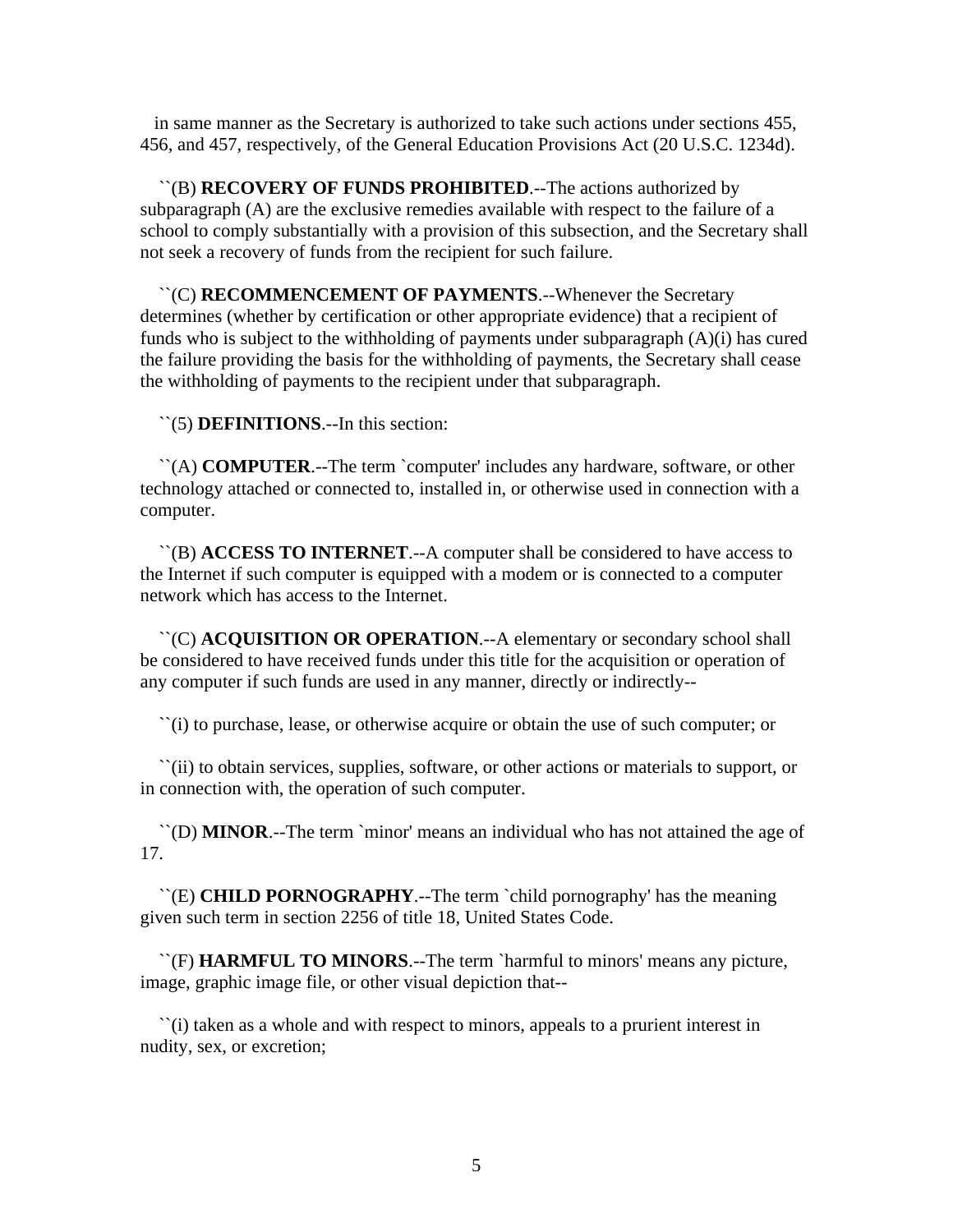in same manner as the Secretary is authorized to take such actions under sections 455, 456, and 457, respectively, of the General Education Provisions Act (20 U.S.C. 1234d).

 ``(B) **RECOVERY OF FUNDS PROHIBITED**.--The actions authorized by subparagraph (A) are the exclusive remedies available with respect to the failure of a school to comply substantially with a provision of this subsection, and the Secretary shall not seek a recovery of funds from the recipient for such failure.

 ``(C) **RECOMMENCEMENT OF PAYMENTS**.--Whenever the Secretary determines (whether by certification or other appropriate evidence) that a recipient of funds who is subject to the withholding of payments under subparagraph (A)(i) has cured the failure providing the basis for the withholding of payments, the Secretary shall cease the withholding of payments to the recipient under that subparagraph.

``(5) **DEFINITIONS**.--In this section:

 ``(A) **COMPUTER**.--The term `computer' includes any hardware, software, or other technology attached or connected to, installed in, or otherwise used in connection with a computer.

 ``(B) **ACCESS TO INTERNET**.--A computer shall be considered to have access to the Internet if such computer is equipped with a modem or is connected to a computer network which has access to the Internet.

 ``(C) **ACQUISITION OR OPERATION**.--A elementary or secondary school shall be considered to have received funds under this title for the acquisition or operation of any computer if such funds are used in any manner, directly or indirectly--

``(i) to purchase, lease, or otherwise acquire or obtain the use of such computer; or

 ``(ii) to obtain services, supplies, software, or other actions or materials to support, or in connection with, the operation of such computer.

 ``(D) **MINOR**.--The term `minor' means an individual who has not attained the age of 17.

 ``(E) **CHILD PORNOGRAPHY**.--The term `child pornography' has the meaning given such term in section 2256 of title 18, United States Code.

 ``(F) **HARMFUL TO MINORS**.--The term `harmful to minors' means any picture, image, graphic image file, or other visual depiction that--

 ``(i) taken as a whole and with respect to minors, appeals to a prurient interest in nudity, sex, or excretion;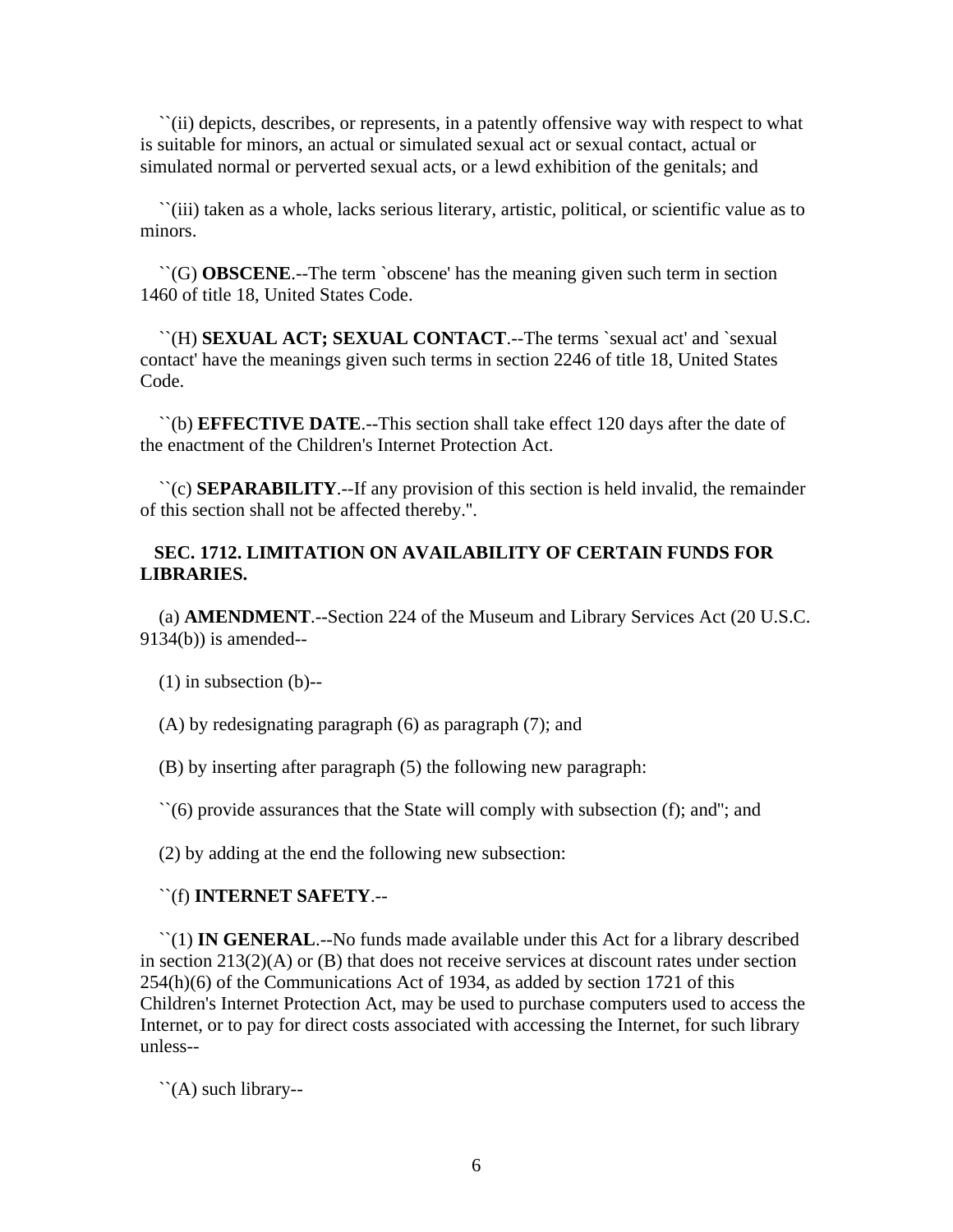``(ii) depicts, describes, or represents, in a patently offensive way with respect to what is suitable for minors, an actual or simulated sexual act or sexual contact, actual or simulated normal or perverted sexual acts, or a lewd exhibition of the genitals; and

 ``(iii) taken as a whole, lacks serious literary, artistic, political, or scientific value as to minors.

 ``(G) **OBSCENE**.--The term `obscene' has the meaning given such term in section 1460 of title 18, United States Code.

 ``(H) **SEXUAL ACT; SEXUAL CONTACT**.--The terms `sexual act' and `sexual contact' have the meanings given such terms in section 2246 of title 18, United States Code.

 ``(b) **EFFECTIVE DATE**.--This section shall take effect 120 days after the date of the enactment of the Children's Internet Protection Act.

 ``(c) **SEPARABILITY**.--If any provision of this section is held invalid, the remainder of this section shall not be affected thereby.''.

# **SEC. 1712. LIMITATION ON AVAILABILITY OF CERTAIN FUNDS FOR LIBRARIES.**

 (a) **AMENDMENT**.--Section 224 of the Museum and Library Services Act (20 U.S.C. 9134(b)) is amended--

(1) in subsection (b)--

(A) by redesignating paragraph (6) as paragraph (7); and

(B) by inserting after paragraph (5) the following new paragraph:

``(6) provide assurances that the State will comply with subsection (f); and''; and

(2) by adding at the end the following new subsection:

## ``(f) **INTERNET SAFETY**.--

 ``(1) **IN GENERAL**.--No funds made available under this Act for a library described in section  $213(2)(A)$  or (B) that does not receive services at discount rates under section 254(h)(6) of the Communications Act of 1934, as added by section 1721 of this Children's Internet Protection Act, may be used to purchase computers used to access the Internet, or to pay for direct costs associated with accessing the Internet, for such library unless--

 $\lq (A)$  such library--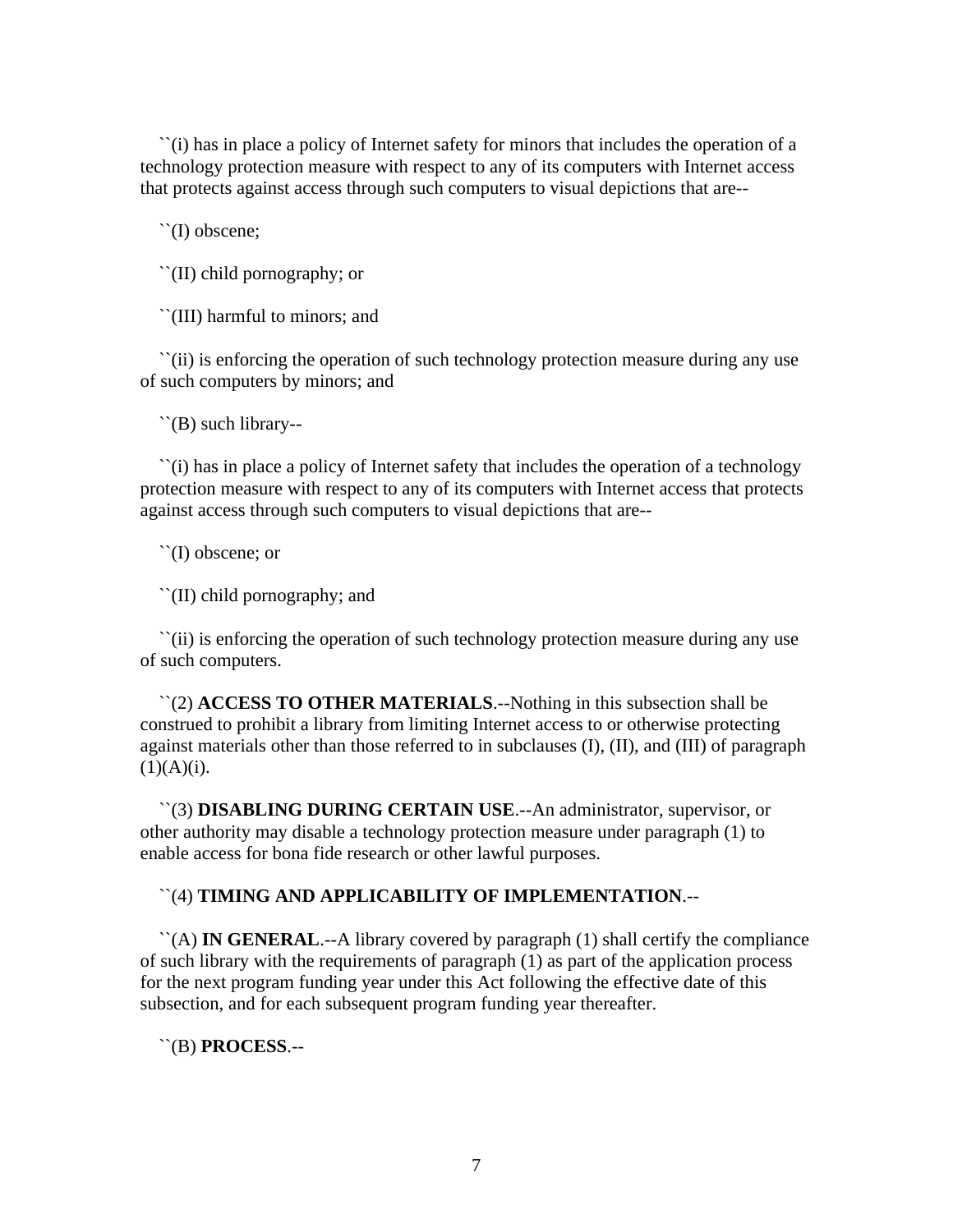``(i) has in place a policy of Internet safety for minors that includes the operation of a technology protection measure with respect to any of its computers with Internet access that protects against access through such computers to visual depictions that are--

``(I) obscene;

``(II) child pornography; or

``(III) harmful to minors; and

 ``(ii) is enforcing the operation of such technology protection measure during any use of such computers by minors; and

 $\lq (B)$  such library--

 ``(i) has in place a policy of Internet safety that includes the operation of a technology protection measure with respect to any of its computers with Internet access that protects against access through such computers to visual depictions that are--

``(I) obscene; or

``(II) child pornography; and

 ``(ii) is enforcing the operation of such technology protection measure during any use of such computers.

 ``(2) **ACCESS TO OTHER MATERIALS**.--Nothing in this subsection shall be construed to prohibit a library from limiting Internet access to or otherwise protecting against materials other than those referred to in subclauses (I), (II), and (III) of paragraph  $(1)(A)(i)$ .

 ``(3) **DISABLING DURING CERTAIN USE**.--An administrator, supervisor, or other authority may disable a technology protection measure under paragraph (1) to enable access for bona fide research or other lawful purposes.

#### ``(4) **TIMING AND APPLICABILITY OF IMPLEMENTATION**.--

 ``(A) **IN GENERAL**.--A library covered by paragraph (1) shall certify the compliance of such library with the requirements of paragraph (1) as part of the application process for the next program funding year under this Act following the effective date of this subsection, and for each subsequent program funding year thereafter.

``(B) **PROCESS**.--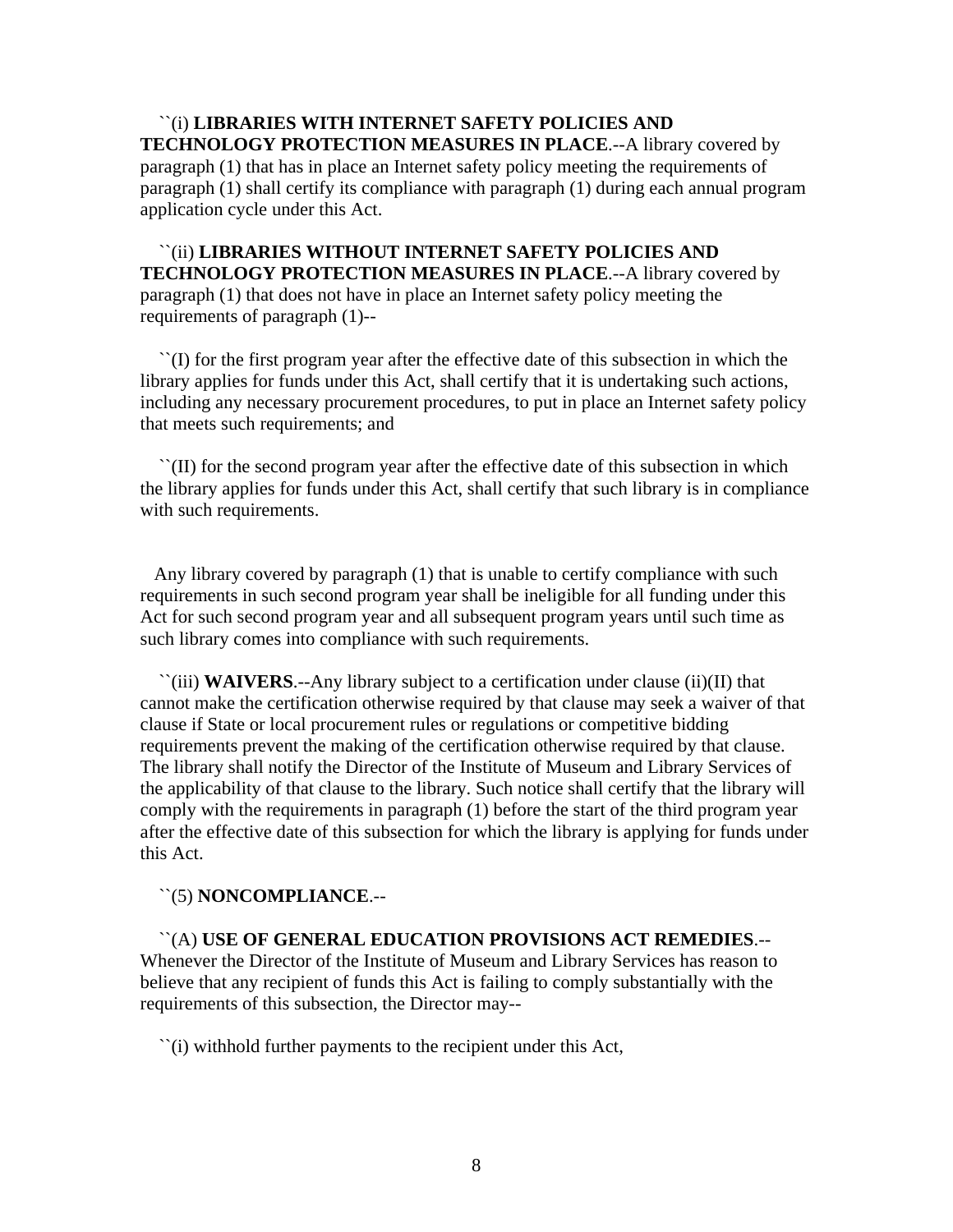# ``(i) **LIBRARIES WITH INTERNET SAFETY POLICIES AND TECHNOLOGY PROTECTION MEASURES IN PLACE**.--A library covered by paragraph (1) that has in place an Internet safety policy meeting the requirements of paragraph (1) shall certify its compliance with paragraph (1) during each annual program application cycle under this Act.

 ``(ii) **LIBRARIES WITHOUT INTERNET SAFETY POLICIES AND TECHNOLOGY PROTECTION MEASURES IN PLACE**.--A library covered by paragraph (1) that does not have in place an Internet safety policy meeting the requirements of paragraph (1)--

 ``(I) for the first program year after the effective date of this subsection in which the library applies for funds under this Act, shall certify that it is undertaking such actions, including any necessary procurement procedures, to put in place an Internet safety policy that meets such requirements; and

 ``(II) for the second program year after the effective date of this subsection in which the library applies for funds under this Act, shall certify that such library is in compliance with such requirements.

 Any library covered by paragraph (1) that is unable to certify compliance with such requirements in such second program year shall be ineligible for all funding under this Act for such second program year and all subsequent program years until such time as such library comes into compliance with such requirements.

 ``(iii) **WAIVERS**.--Any library subject to a certification under clause (ii)(II) that cannot make the certification otherwise required by that clause may seek a waiver of that clause if State or local procurement rules or regulations or competitive bidding requirements prevent the making of the certification otherwise required by that clause. The library shall notify the Director of the Institute of Museum and Library Services of the applicability of that clause to the library. Such notice shall certify that the library will comply with the requirements in paragraph (1) before the start of the third program year after the effective date of this subsection for which the library is applying for funds under this Act.

#### ``(5) **NONCOMPLIANCE**.--

 ``(A) **USE OF GENERAL EDUCATION PROVISIONS ACT REMEDIES**.-- Whenever the Director of the Institute of Museum and Library Services has reason to believe that any recipient of funds this Act is failing to comply substantially with the requirements of this subsection, the Director may--

``(i) withhold further payments to the recipient under this Act,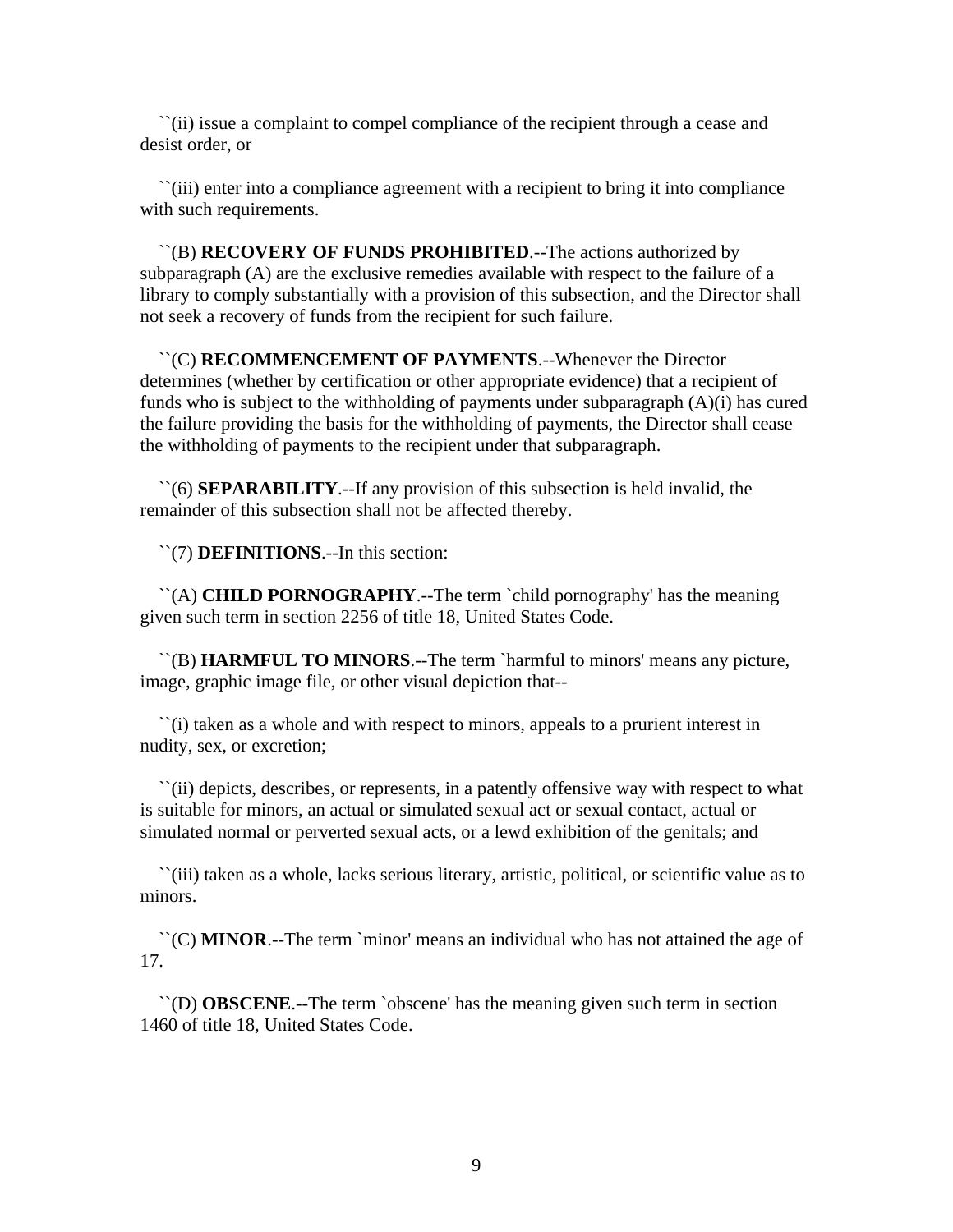``(ii) issue a complaint to compel compliance of the recipient through a cease and desist order, or

 ``(iii) enter into a compliance agreement with a recipient to bring it into compliance with such requirements.

 ``(B) **RECOVERY OF FUNDS PROHIBITED**.--The actions authorized by subparagraph (A) are the exclusive remedies available with respect to the failure of a library to comply substantially with a provision of this subsection, and the Director shall not seek a recovery of funds from the recipient for such failure.

 ``(C) **RECOMMENCEMENT OF PAYMENTS**.--Whenever the Director determines (whether by certification or other appropriate evidence) that a recipient of funds who is subject to the withholding of payments under subparagraph (A)(i) has cured the failure providing the basis for the withholding of payments, the Director shall cease the withholding of payments to the recipient under that subparagraph.

 ``(6) **SEPARABILITY**.--If any provision of this subsection is held invalid, the remainder of this subsection shall not be affected thereby.

``(7) **DEFINITIONS**.--In this section:

 ``(A) **CHILD PORNOGRAPHY**.--The term `child pornography' has the meaning given such term in section 2256 of title 18, United States Code.

 ``(B) **HARMFUL TO MINORS**.--The term `harmful to minors' means any picture, image, graphic image file, or other visual depiction that--

 ``(i) taken as a whole and with respect to minors, appeals to a prurient interest in nudity, sex, or excretion;

 ``(ii) depicts, describes, or represents, in a patently offensive way with respect to what is suitable for minors, an actual or simulated sexual act or sexual contact, actual or simulated normal or perverted sexual acts, or a lewd exhibition of the genitals; and

 ``(iii) taken as a whole, lacks serious literary, artistic, political, or scientific value as to minors.

 ``(C) **MINOR**.--The term `minor' means an individual who has not attained the age of 17.

 ``(D) **OBSCENE**.--The term `obscene' has the meaning given such term in section 1460 of title 18, United States Code.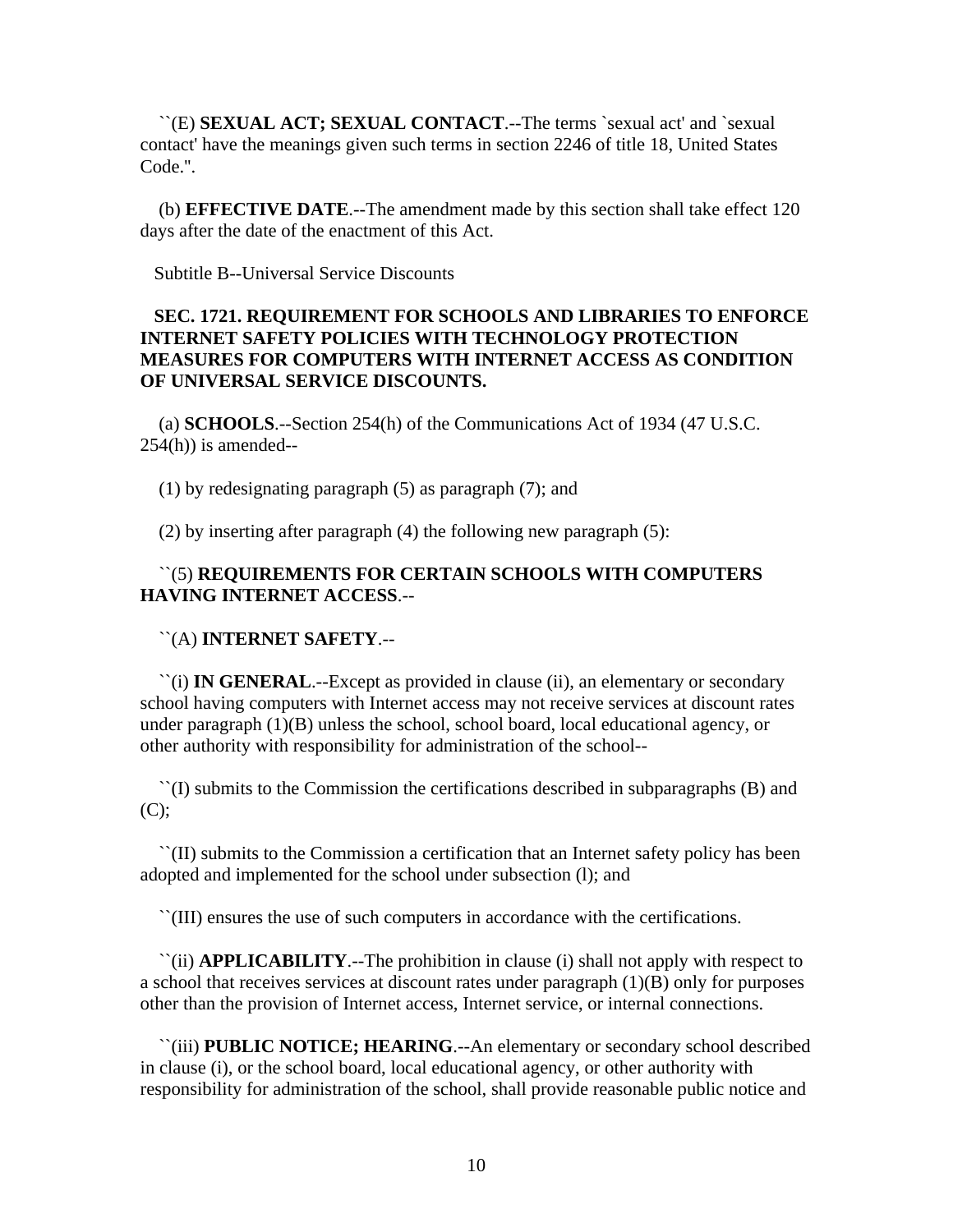``(E) **SEXUAL ACT; SEXUAL CONTACT**.--The terms `sexual act' and `sexual contact' have the meanings given such terms in section 2246 of title 18, United States Code.''.

 (b) **EFFECTIVE DATE**.--The amendment made by this section shall take effect 120 days after the date of the enactment of this Act.

Subtitle B--Universal Service Discounts

## **SEC. 1721. REQUIREMENT FOR SCHOOLS AND LIBRARIES TO ENFORCE INTERNET SAFETY POLICIES WITH TECHNOLOGY PROTECTION MEASURES FOR COMPUTERS WITH INTERNET ACCESS AS CONDITION OF UNIVERSAL SERVICE DISCOUNTS.**

 (a) **SCHOOLS**.--Section 254(h) of the Communications Act of 1934 (47 U.S.C.  $254(h)$ ) is amended--

(1) by redesignating paragraph (5) as paragraph (7); and

(2) by inserting after paragraph (4) the following new paragraph (5):

# ``(5) **REQUIREMENTS FOR CERTAIN SCHOOLS WITH COMPUTERS HAVING INTERNET ACCESS**.--

#### ``(A) **INTERNET SAFETY**.--

 ``(i) **IN GENERAL**.--Except as provided in clause (ii), an elementary or secondary school having computers with Internet access may not receive services at discount rates under paragraph (1)(B) unless the school, school board, local educational agency, or other authority with responsibility for administration of the school--

 ``(I) submits to the Commission the certifications described in subparagraphs (B) and  $(C);$ 

 ``(II) submits to the Commission a certification that an Internet safety policy has been adopted and implemented for the school under subsection (l); and

``(III) ensures the use of such computers in accordance with the certifications.

 ``(ii) **APPLICABILITY**.--The prohibition in clause (i) shall not apply with respect to a school that receives services at discount rates under paragraph (1)(B) only for purposes other than the provision of Internet access, Internet service, or internal connections.

 ``(iii) **PUBLIC NOTICE; HEARING**.--An elementary or secondary school described in clause (i), or the school board, local educational agency, or other authority with responsibility for administration of the school, shall provide reasonable public notice and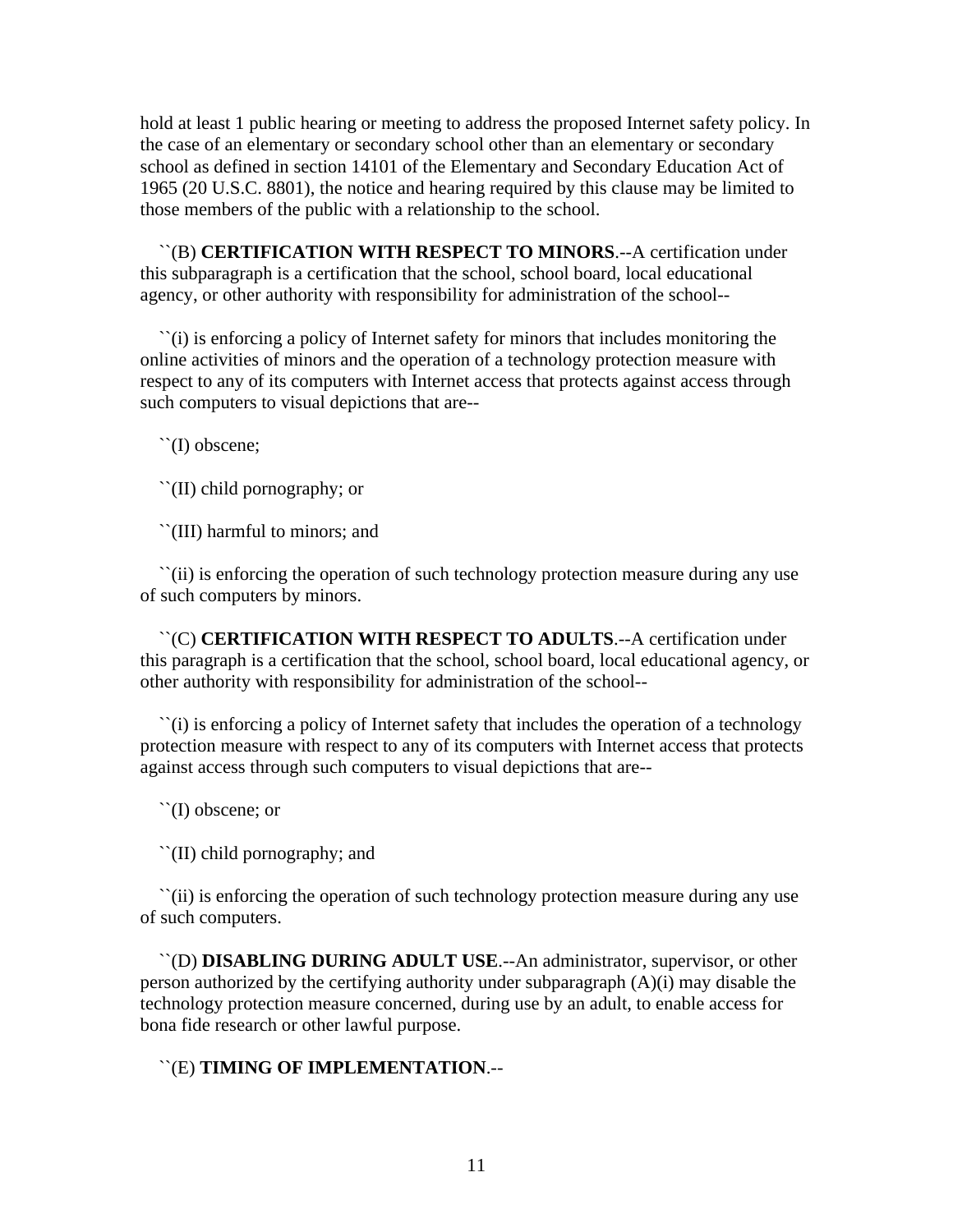hold at least 1 public hearing or meeting to address the proposed Internet safety policy. In the case of an elementary or secondary school other than an elementary or secondary school as defined in section 14101 of the Elementary and Secondary Education Act of 1965 (20 U.S.C. 8801), the notice and hearing required by this clause may be limited to those members of the public with a relationship to the school.

 ``(B) **CERTIFICATION WITH RESPECT TO MINORS**.--A certification under this subparagraph is a certification that the school, school board, local educational agency, or other authority with responsibility for administration of the school--

 ``(i) is enforcing a policy of Internet safety for minors that includes monitoring the online activities of minors and the operation of a technology protection measure with respect to any of its computers with Internet access that protects against access through such computers to visual depictions that are--

``(I) obscene;

``(II) child pornography; or

``(III) harmful to minors; and

 ``(ii) is enforcing the operation of such technology protection measure during any use of such computers by minors.

 ``(C) **CERTIFICATION WITH RESPECT TO ADULTS**.--A certification under this paragraph is a certification that the school, school board, local educational agency, or other authority with responsibility for administration of the school--

 ``(i) is enforcing a policy of Internet safety that includes the operation of a technology protection measure with respect to any of its computers with Internet access that protects against access through such computers to visual depictions that are--

``(I) obscene; or

``(II) child pornography; and

 ``(ii) is enforcing the operation of such technology protection measure during any use of such computers.

 ``(D) **DISABLING DURING ADULT USE**.--An administrator, supervisor, or other person authorized by the certifying authority under subparagraph (A)(i) may disable the technology protection measure concerned, during use by an adult, to enable access for bona fide research or other lawful purpose.

## ``(E) **TIMING OF IMPLEMENTATION**.--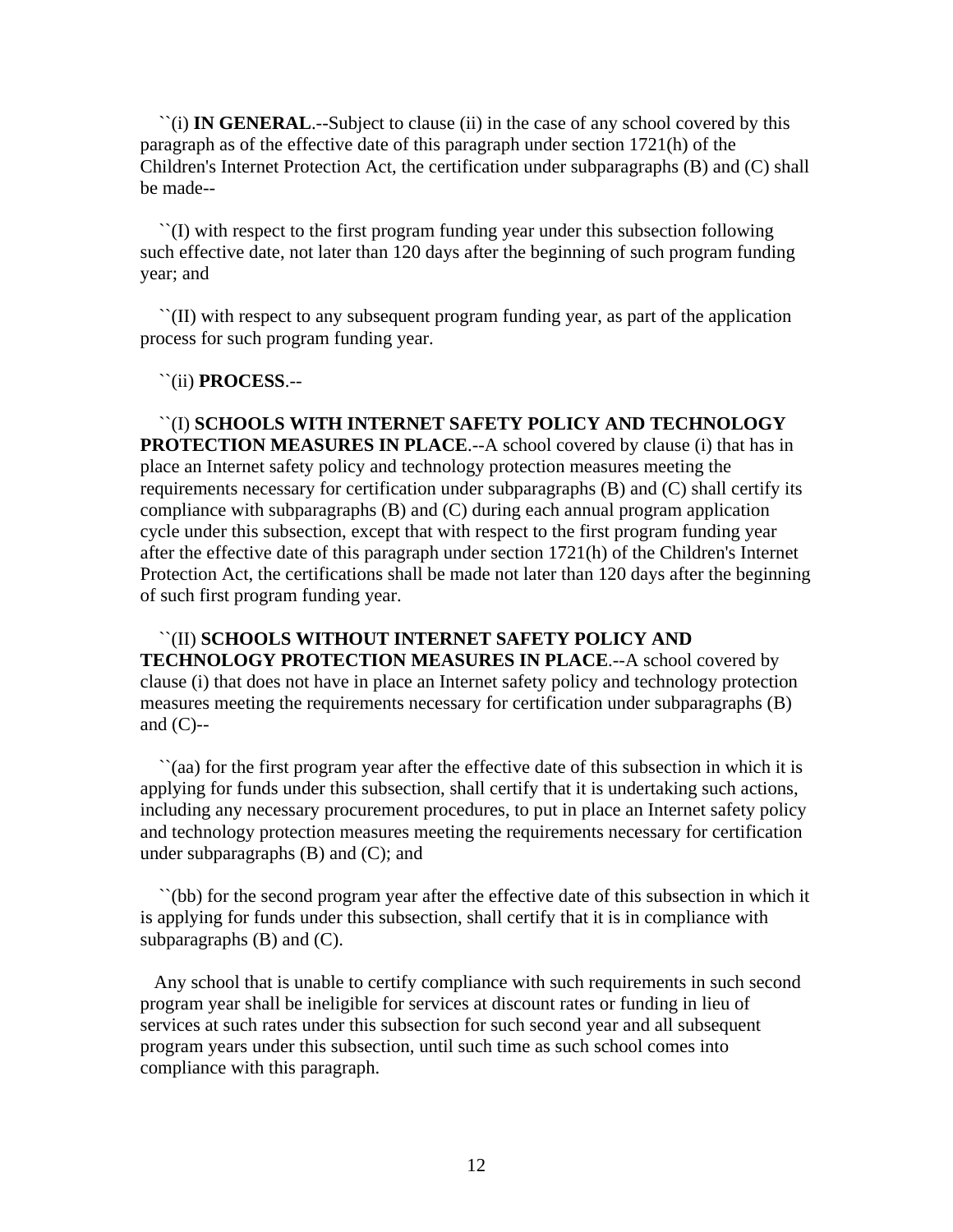``(i) **IN GENERAL**.--Subject to clause (ii) in the case of any school covered by this paragraph as of the effective date of this paragraph under section 1721(h) of the Children's Internet Protection Act, the certification under subparagraphs (B) and (C) shall be made--

 ``(I) with respect to the first program funding year under this subsection following such effective date, not later than 120 days after the beginning of such program funding year; and

 ``(II) with respect to any subsequent program funding year, as part of the application process for such program funding year.

``(ii) **PROCESS**.--

 ``(I) **SCHOOLS WITH INTERNET SAFETY POLICY AND TECHNOLOGY PROTECTION MEASURES IN PLACE**.--A school covered by clause (i) that has in place an Internet safety policy and technology protection measures meeting the requirements necessary for certification under subparagraphs (B) and (C) shall certify its compliance with subparagraphs (B) and (C) during each annual program application cycle under this subsection, except that with respect to the first program funding year after the effective date of this paragraph under section 1721(h) of the Children's Internet Protection Act, the certifications shall be made not later than 120 days after the beginning of such first program funding year.

 ``(II) **SCHOOLS WITHOUT INTERNET SAFETY POLICY AND TECHNOLOGY PROTECTION MEASURES IN PLACE**.--A school covered by clause (i) that does not have in place an Internet safety policy and technology protection measures meeting the requirements necessary for certification under subparagraphs (B) and  $(C)$ --

 ``(aa) for the first program year after the effective date of this subsection in which it is applying for funds under this subsection, shall certify that it is undertaking such actions, including any necessary procurement procedures, to put in place an Internet safety policy and technology protection measures meeting the requirements necessary for certification under subparagraphs  $(B)$  and  $(C)$ ; and

 ``(bb) for the second program year after the effective date of this subsection in which it is applying for funds under this subsection, shall certify that it is in compliance with subparagraphs (B) and (C).

 Any school that is unable to certify compliance with such requirements in such second program year shall be ineligible for services at discount rates or funding in lieu of services at such rates under this subsection for such second year and all subsequent program years under this subsection, until such time as such school comes into compliance with this paragraph.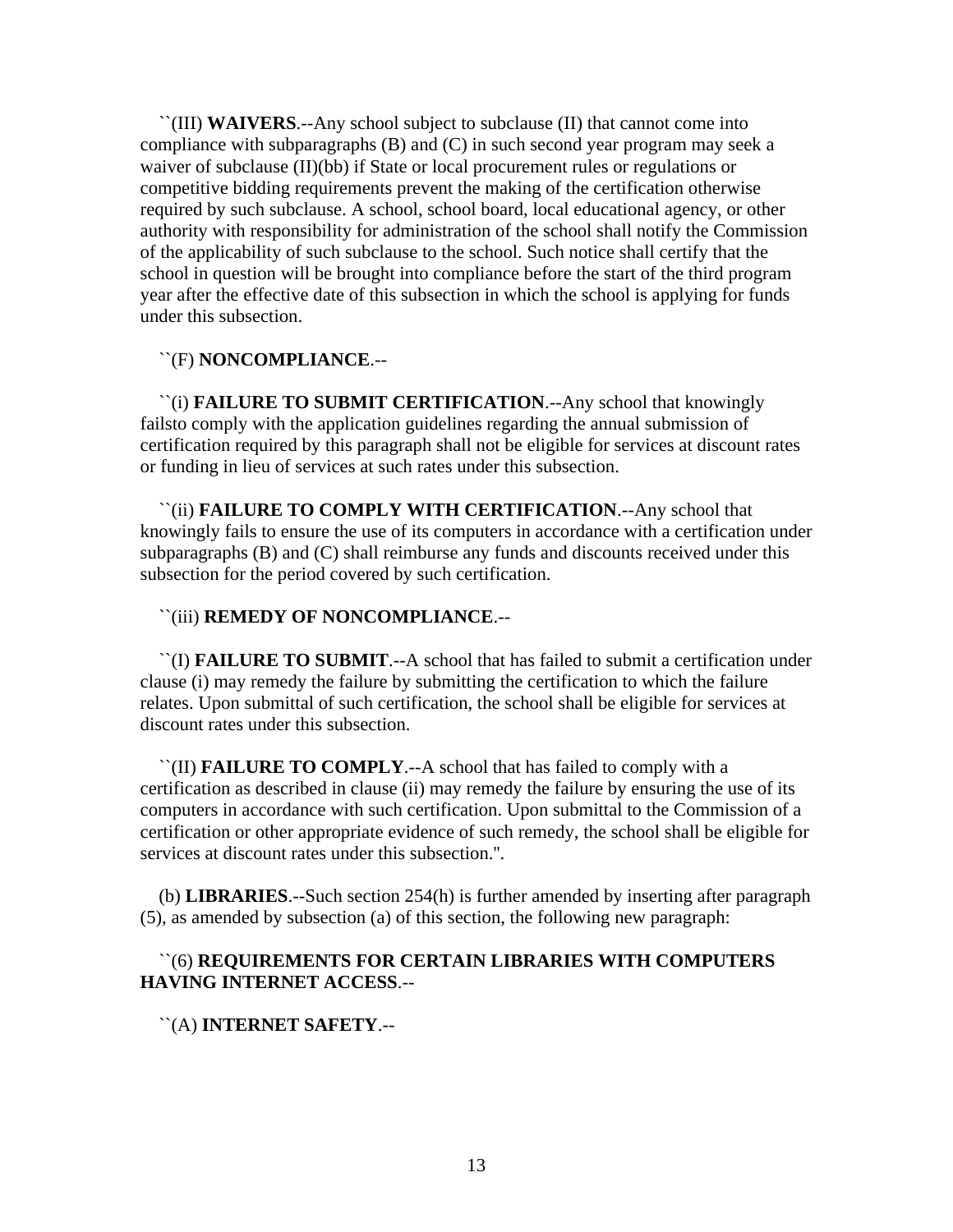``(III) **WAIVERS**.--Any school subject to subclause (II) that cannot come into compliance with subparagraphs (B) and (C) in such second year program may seek a waiver of subclause (II)(bb) if State or local procurement rules or regulations or competitive bidding requirements prevent the making of the certification otherwise required by such subclause. A school, school board, local educational agency, or other authority with responsibility for administration of the school shall notify the Commission of the applicability of such subclause to the school. Such notice shall certify that the school in question will be brought into compliance before the start of the third program year after the effective date of this subsection in which the school is applying for funds under this subsection.

## ``(F) **NONCOMPLIANCE**.--

 ``(i) **FAILURE TO SUBMIT CERTIFICATION**.--Any school that knowingly failsto comply with the application guidelines regarding the annual submission of certification required by this paragraph shall not be eligible for services at discount rates or funding in lieu of services at such rates under this subsection.

 ``(ii) **FAILURE TO COMPLY WITH CERTIFICATION**.--Any school that knowingly fails to ensure the use of its computers in accordance with a certification under subparagraphs (B) and (C) shall reimburse any funds and discounts received under this subsection for the period covered by such certification.

#### ``(iii) **REMEDY OF NONCOMPLIANCE**.--

 ``(I) **FAILURE TO SUBMIT**.--A school that has failed to submit a certification under clause (i) may remedy the failure by submitting the certification to which the failure relates. Upon submittal of such certification, the school shall be eligible for services at discount rates under this subsection.

 ``(II) **FAILURE TO COMPLY**.--A school that has failed to comply with a certification as described in clause (ii) may remedy the failure by ensuring the use of its computers in accordance with such certification. Upon submittal to the Commission of a certification or other appropriate evidence of such remedy, the school shall be eligible for services at discount rates under this subsection.''.

 (b) **LIBRARIES**.--Such section 254(h) is further amended by inserting after paragraph (5), as amended by subsection (a) of this section, the following new paragraph:

## ``(6) **REQUIREMENTS FOR CERTAIN LIBRARIES WITH COMPUTERS HAVING INTERNET ACCESS**.--

#### ``(A) **INTERNET SAFETY**.--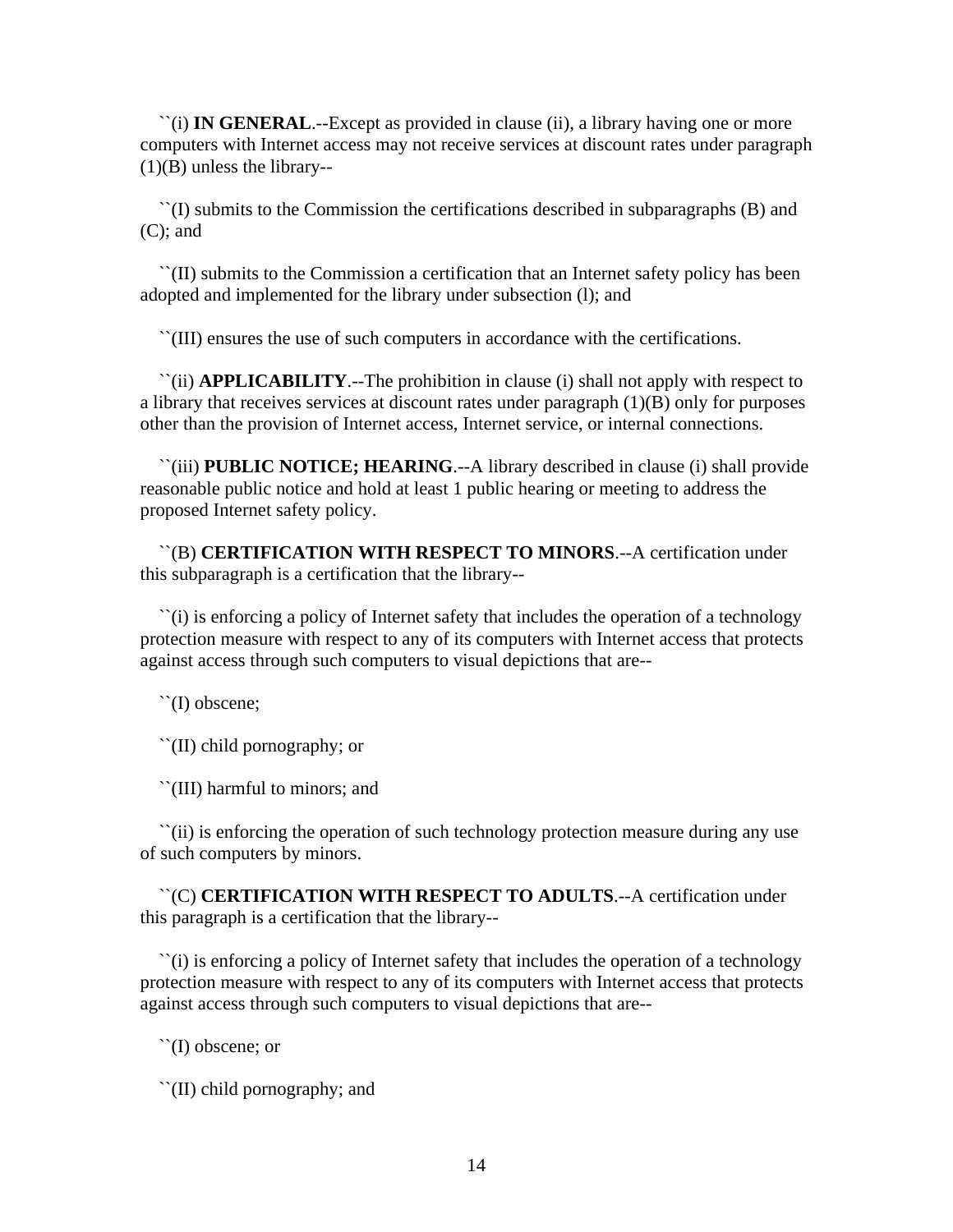``(i) **IN GENERAL**.--Except as provided in clause (ii), a library having one or more computers with Internet access may not receive services at discount rates under paragraph  $(1)(B)$  unless the library--

 ``(I) submits to the Commission the certifications described in subparagraphs (B) and (C); and

 ``(II) submits to the Commission a certification that an Internet safety policy has been adopted and implemented for the library under subsection (l); and

``(III) ensures the use of such computers in accordance with the certifications.

 ``(ii) **APPLICABILITY**.--The prohibition in clause (i) shall not apply with respect to a library that receives services at discount rates under paragraph (1)(B) only for purposes other than the provision of Internet access, Internet service, or internal connections.

 ``(iii) **PUBLIC NOTICE; HEARING**.--A library described in clause (i) shall provide reasonable public notice and hold at least 1 public hearing or meeting to address the proposed Internet safety policy.

 ``(B) **CERTIFICATION WITH RESPECT TO MINORS**.--A certification under this subparagraph is a certification that the library--

 ``(i) is enforcing a policy of Internet safety that includes the operation of a technology protection measure with respect to any of its computers with Internet access that protects against access through such computers to visual depictions that are--

``(I) obscene;

``(II) child pornography; or

``(III) harmful to minors; and

 ``(ii) is enforcing the operation of such technology protection measure during any use of such computers by minors.

 ``(C) **CERTIFICATION WITH RESPECT TO ADULTS**.--A certification under this paragraph is a certification that the library--

 ``(i) is enforcing a policy of Internet safety that includes the operation of a technology protection measure with respect to any of its computers with Internet access that protects against access through such computers to visual depictions that are--

``(I) obscene; or

``(II) child pornography; and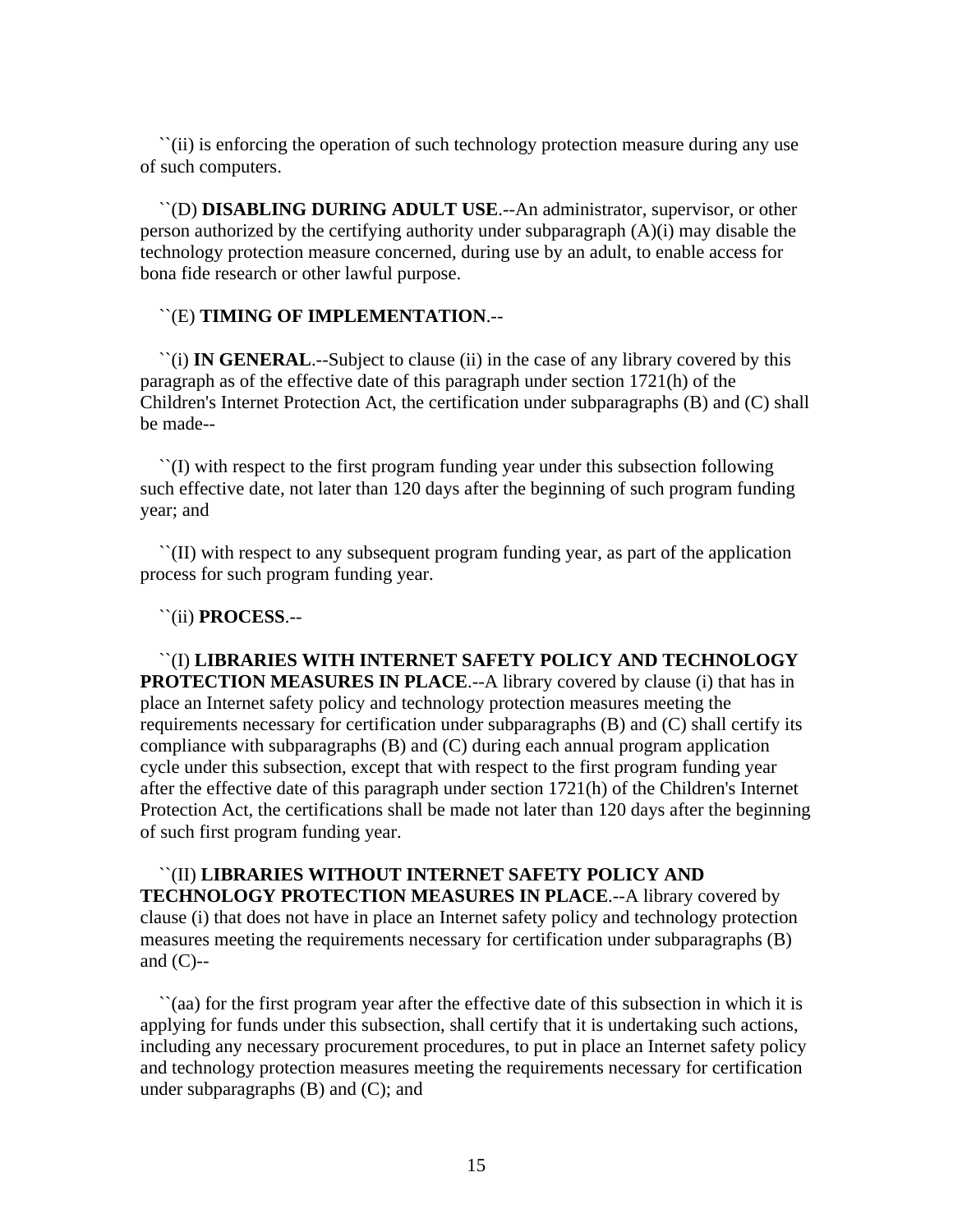``(ii) is enforcing the operation of such technology protection measure during any use of such computers.

 ``(D) **DISABLING DURING ADULT USE**.--An administrator, supervisor, or other person authorized by the certifying authority under subparagraph (A)(i) may disable the technology protection measure concerned, during use by an adult, to enable access for bona fide research or other lawful purpose.

#### ``(E) **TIMING OF IMPLEMENTATION**.--

 ``(i) **IN GENERAL**.--Subject to clause (ii) in the case of any library covered by this paragraph as of the effective date of this paragraph under section 1721(h) of the Children's Internet Protection Act, the certification under subparagraphs (B) and (C) shall be made--

 ``(I) with respect to the first program funding year under this subsection following such effective date, not later than 120 days after the beginning of such program funding year; and

 ``(II) with respect to any subsequent program funding year, as part of the application process for such program funding year.

#### ``(ii) **PROCESS**.--

 ``(I) **LIBRARIES WITH INTERNET SAFETY POLICY AND TECHNOLOGY PROTECTION MEASURES IN PLACE**.--A library covered by clause (i) that has in place an Internet safety policy and technology protection measures meeting the requirements necessary for certification under subparagraphs (B) and (C) shall certify its compliance with subparagraphs (B) and (C) during each annual program application cycle under this subsection, except that with respect to the first program funding year after the effective date of this paragraph under section 1721(h) of the Children's Internet Protection Act, the certifications shall be made not later than 120 days after the beginning of such first program funding year.

 ``(II) **LIBRARIES WITHOUT INTERNET SAFETY POLICY AND TECHNOLOGY PROTECTION MEASURES IN PLACE**.--A library covered by clause (i) that does not have in place an Internet safety policy and technology protection measures meeting the requirements necessary for certification under subparagraphs (B) and  $(C)$ --

 ``(aa) for the first program year after the effective date of this subsection in which it is applying for funds under this subsection, shall certify that it is undertaking such actions, including any necessary procurement procedures, to put in place an Internet safety policy and technology protection measures meeting the requirements necessary for certification under subparagraphs  $(B)$  and  $(C)$ ; and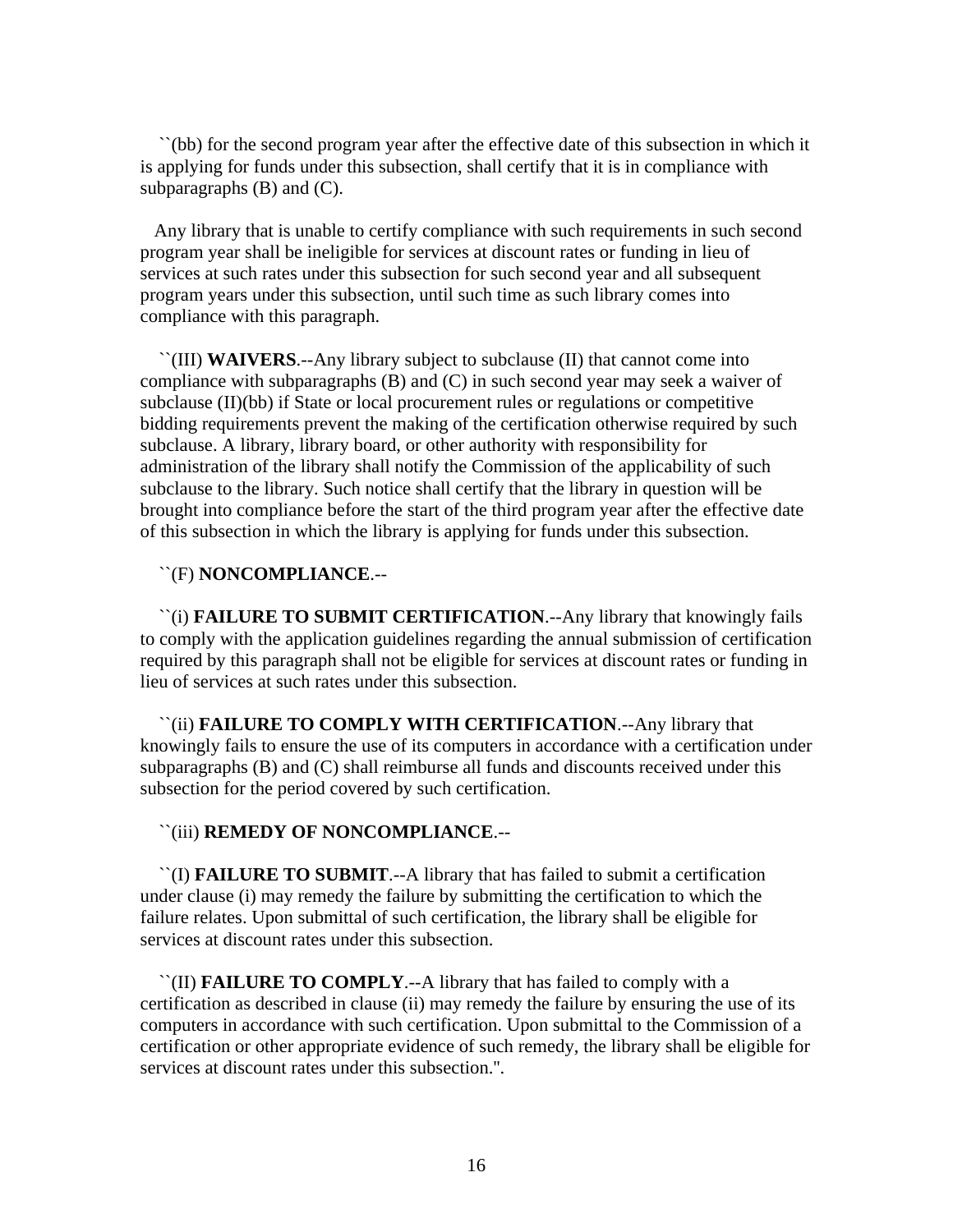``(bb) for the second program year after the effective date of this subsection in which it is applying for funds under this subsection, shall certify that it is in compliance with subparagraphs  $(B)$  and  $(C)$ .

 Any library that is unable to certify compliance with such requirements in such second program year shall be ineligible for services at discount rates or funding in lieu of services at such rates under this subsection for such second year and all subsequent program years under this subsection, until such time as such library comes into compliance with this paragraph.

 ``(III) **WAIVERS**.--Any library subject to subclause (II) that cannot come into compliance with subparagraphs (B) and (C) in such second year may seek a waiver of subclause (II)(bb) if State or local procurement rules or regulations or competitive bidding requirements prevent the making of the certification otherwise required by such subclause. A library, library board, or other authority with responsibility for administration of the library shall notify the Commission of the applicability of such subclause to the library. Such notice shall certify that the library in question will be brought into compliance before the start of the third program year after the effective date of this subsection in which the library is applying for funds under this subsection.

## ``(F) **NONCOMPLIANCE**.--

 ``(i) **FAILURE TO SUBMIT CERTIFICATION**.--Any library that knowingly fails to comply with the application guidelines regarding the annual submission of certification required by this paragraph shall not be eligible for services at discount rates or funding in lieu of services at such rates under this subsection.

 ``(ii) **FAILURE TO COMPLY WITH CERTIFICATION**.--Any library that knowingly fails to ensure the use of its computers in accordance with a certification under subparagraphs (B) and (C) shall reimburse all funds and discounts received under this subsection for the period covered by such certification.

#### ``(iii) **REMEDY OF NONCOMPLIANCE**.--

 ``(I) **FAILURE TO SUBMIT**.--A library that has failed to submit a certification under clause (i) may remedy the failure by submitting the certification to which the failure relates. Upon submittal of such certification, the library shall be eligible for services at discount rates under this subsection.

 ``(II) **FAILURE TO COMPLY**.--A library that has failed to comply with a certification as described in clause (ii) may remedy the failure by ensuring the use of its computers in accordance with such certification. Upon submittal to the Commission of a certification or other appropriate evidence of such remedy, the library shall be eligible for services at discount rates under this subsection.''.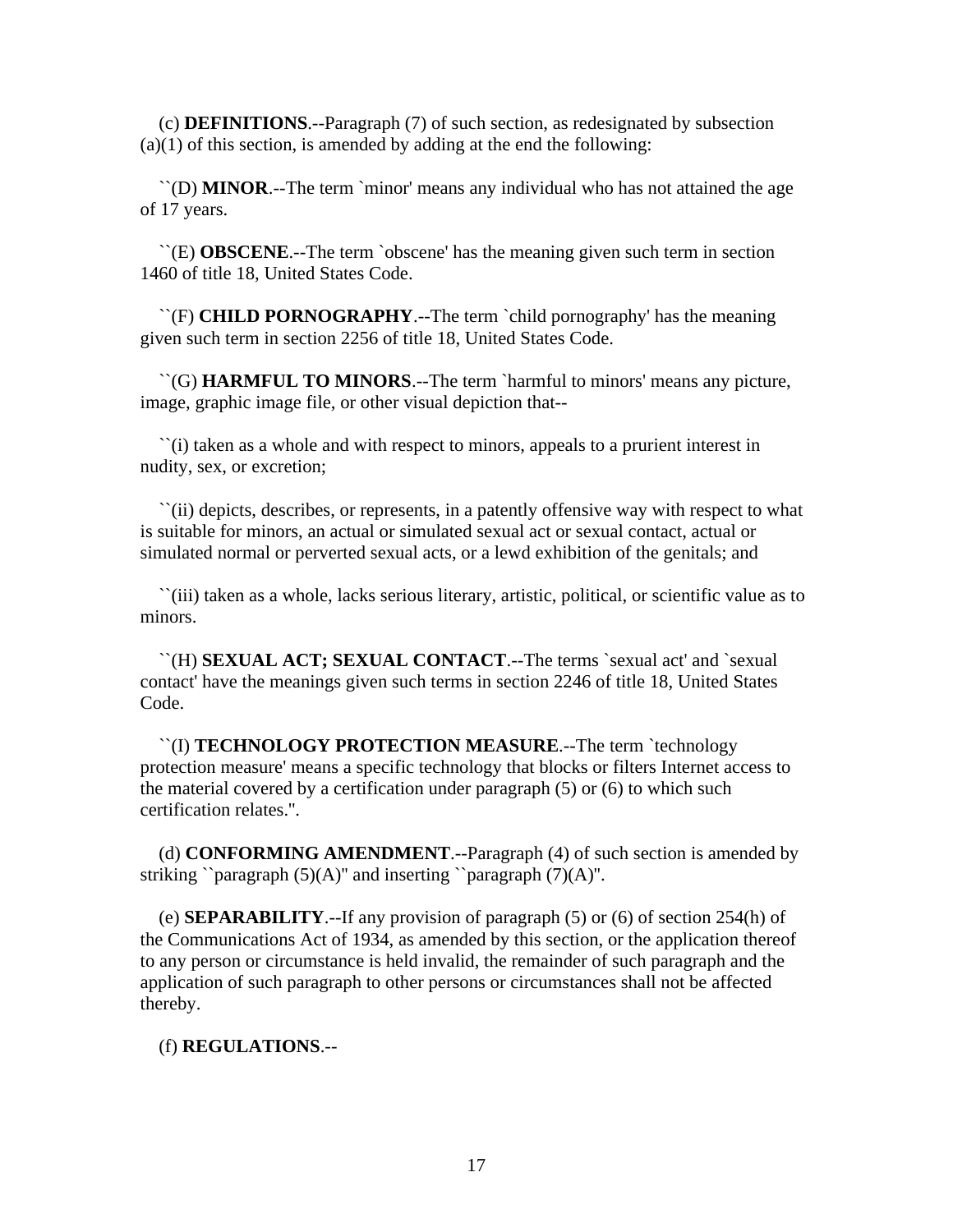(c) **DEFINITIONS**.--Paragraph (7) of such section, as redesignated by subsection  $(a)(1)$  of this section, is amended by adding at the end the following:

 ``(D) **MINOR**.--The term `minor' means any individual who has not attained the age of 17 years.

 ``(E) **OBSCENE**.--The term `obscene' has the meaning given such term in section 1460 of title 18, United States Code.

 ``(F) **CHILD PORNOGRAPHY**.--The term `child pornography' has the meaning given such term in section 2256 of title 18, United States Code.

 ``(G) **HARMFUL TO MINORS**.--The term `harmful to minors' means any picture, image, graphic image file, or other visual depiction that--

 ``(i) taken as a whole and with respect to minors, appeals to a prurient interest in nudity, sex, or excretion;

 ``(ii) depicts, describes, or represents, in a patently offensive way with respect to what is suitable for minors, an actual or simulated sexual act or sexual contact, actual or simulated normal or perverted sexual acts, or a lewd exhibition of the genitals; and

 ``(iii) taken as a whole, lacks serious literary, artistic, political, or scientific value as to minors.

 ``(H) **SEXUAL ACT; SEXUAL CONTACT**.--The terms `sexual act' and `sexual contact' have the meanings given such terms in section 2246 of title 18, United States Code.

 ``(I) **TECHNOLOGY PROTECTION MEASURE**.--The term `technology protection measure' means a specific technology that blocks or filters Internet access to the material covered by a certification under paragraph (5) or (6) to which such certification relates.''.

 (d) **CONFORMING AMENDMENT**.--Paragraph (4) of such section is amended by striking "paragraph  $(5)(A)$ " and inserting "paragraph  $(7)(A)$ ".

 (e) **SEPARABILITY**.--If any provision of paragraph (5) or (6) of section 254(h) of the Communications Act of 1934, as amended by this section, or the application thereof to any person or circumstance is held invalid, the remainder of such paragraph and the application of such paragraph to other persons or circumstances shall not be affected thereby.

# (f) **REGULATIONS**.--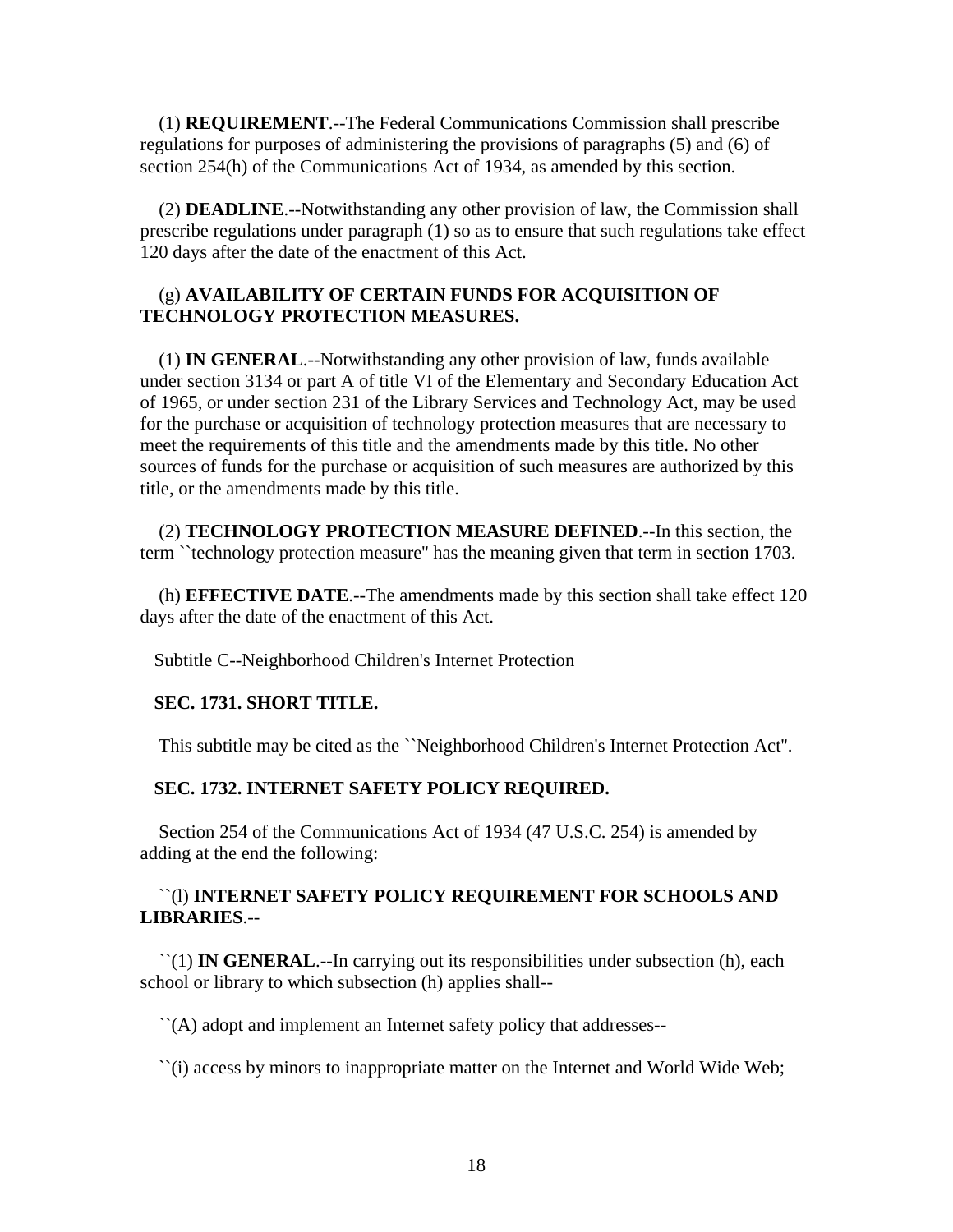(1) **REQUIREMENT**.--The Federal Communications Commission shall prescribe regulations for purposes of administering the provisions of paragraphs (5) and (6) of section 254(h) of the Communications Act of 1934, as amended by this section.

 (2) **DEADLINE**.--Notwithstanding any other provision of law, the Commission shall prescribe regulations under paragraph (1) so as to ensure that such regulations take effect 120 days after the date of the enactment of this Act.

### (g) **AVAILABILITY OF CERTAIN FUNDS FOR ACQUISITION OF TECHNOLOGY PROTECTION MEASURES.**

 (1) **IN GENERAL**.--Notwithstanding any other provision of law, funds available under section 3134 or part A of title VI of the Elementary and Secondary Education Act of 1965, or under section 231 of the Library Services and Technology Act, may be used for the purchase or acquisition of technology protection measures that are necessary to meet the requirements of this title and the amendments made by this title. No other sources of funds for the purchase or acquisition of such measures are authorized by this title, or the amendments made by this title.

 (2) **TECHNOLOGY PROTECTION MEASURE DEFINED**.--In this section, the term ``technology protection measure'' has the meaning given that term in section 1703.

 (h) **EFFECTIVE DATE**.--The amendments made by this section shall take effect 120 days after the date of the enactment of this Act.

Subtitle C--Neighborhood Children's Internet Protection

#### **SEC. 1731. SHORT TITLE.**

This subtitle may be cited as the ``Neighborhood Children's Internet Protection Act''.

#### **SEC. 1732. INTERNET SAFETY POLICY REQUIRED.**

 Section 254 of the Communications Act of 1934 (47 U.S.C. 254) is amended by adding at the end the following:

### ``(l) **INTERNET SAFETY POLICY REQUIREMENT FOR SCHOOLS AND LIBRARIES**.--

 ``(1) **IN GENERAL**.--In carrying out its responsibilities under subsection (h), each school or library to which subsection (h) applies shall--

``(A) adopt and implement an Internet safety policy that addresses--

``(i) access by minors to inappropriate matter on the Internet and World Wide Web;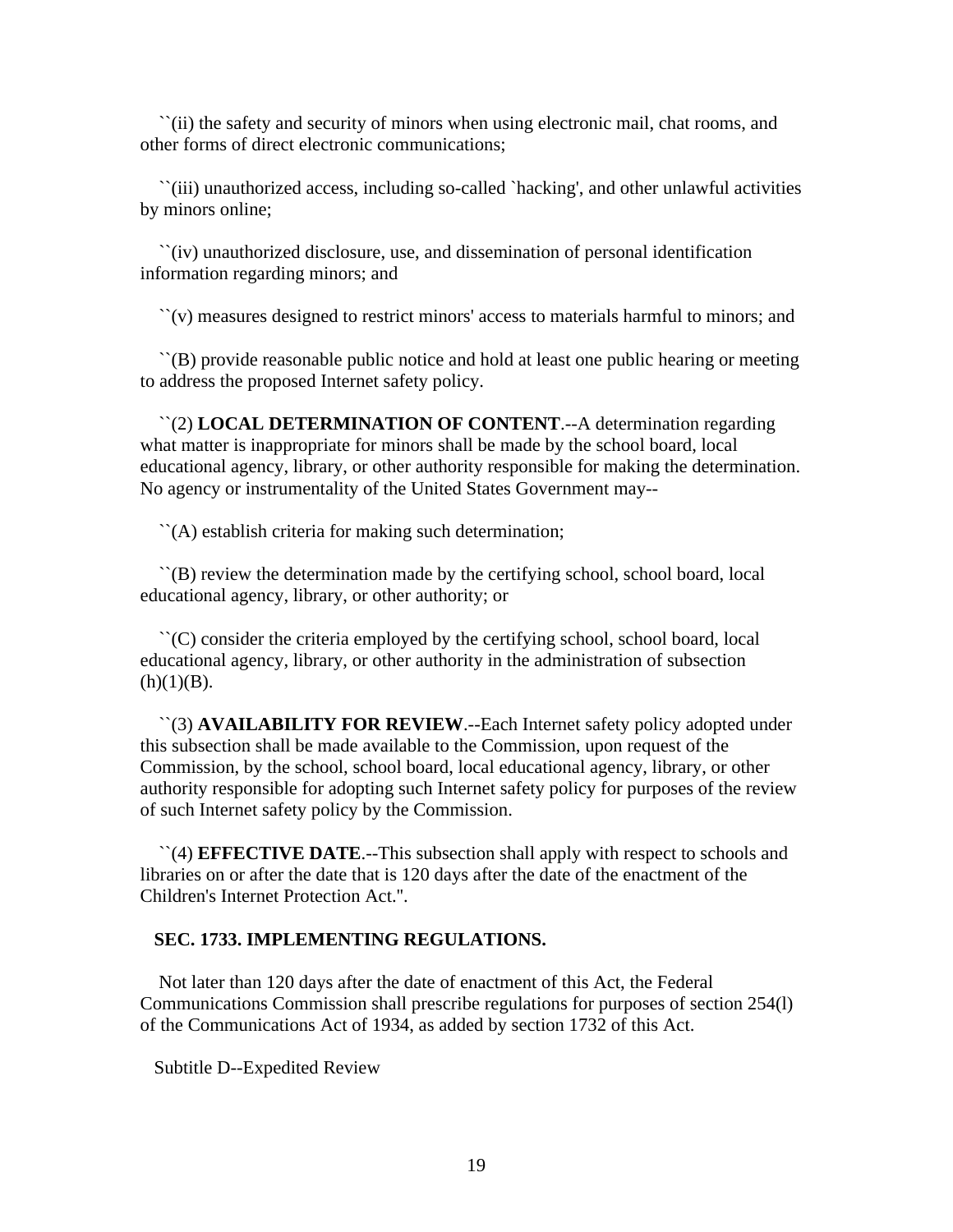``(ii) the safety and security of minors when using electronic mail, chat rooms, and other forms of direct electronic communications;

 ``(iii) unauthorized access, including so-called `hacking', and other unlawful activities by minors online;

 ``(iv) unauthorized disclosure, use, and dissemination of personal identification information regarding minors; and

``(v) measures designed to restrict minors' access to materials harmful to minors; and

 ``(B) provide reasonable public notice and hold at least one public hearing or meeting to address the proposed Internet safety policy.

 ``(2) **LOCAL DETERMINATION OF CONTENT**.--A determination regarding what matter is inappropriate for minors shall be made by the school board, local educational agency, library, or other authority responsible for making the determination. No agency or instrumentality of the United States Government may--

``(A) establish criteria for making such determination;

 ``(B) review the determination made by the certifying school, school board, local educational agency, library, or other authority; or

 ``(C) consider the criteria employed by the certifying school, school board, local educational agency, library, or other authority in the administration of subsection  $(h)(1)(B)$ .

 ``(3) **AVAILABILITY FOR REVIEW**.--Each Internet safety policy adopted under this subsection shall be made available to the Commission, upon request of the Commission, by the school, school board, local educational agency, library, or other authority responsible for adopting such Internet safety policy for purposes of the review of such Internet safety policy by the Commission.

 ``(4) **EFFECTIVE DATE**.--This subsection shall apply with respect to schools and libraries on or after the date that is 120 days after the date of the enactment of the Children's Internet Protection Act.''.

#### **SEC. 1733. IMPLEMENTING REGULATIONS.**

 Not later than 120 days after the date of enactment of this Act, the Federal Communications Commission shall prescribe regulations for purposes of section 254(l) of the Communications Act of 1934, as added by section 1732 of this Act.

Subtitle D--Expedited Review